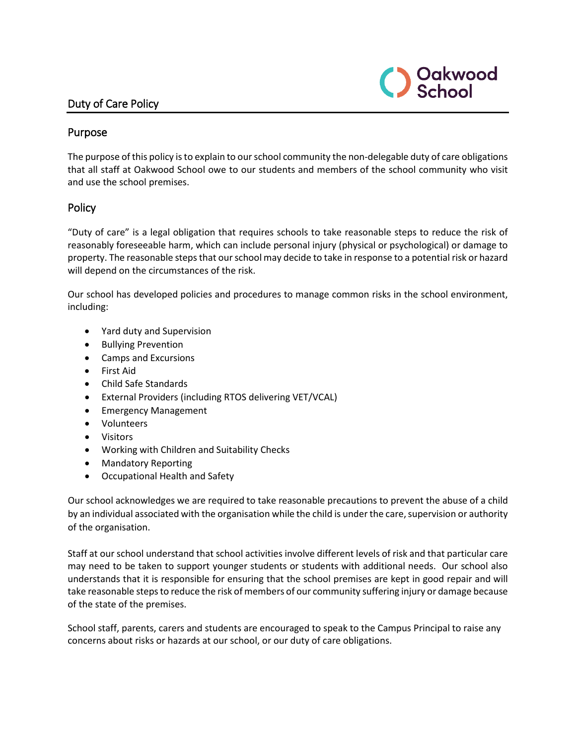# Duty of Care Policy



## Purpose

The purpose of this policy is to explain to our school community the non-delegable duty of care obligations that all staff at Oakwood School owe to our students and members of the school community who visit and use the school premises.

# Policy

"Duty of care" is a legal obligation that requires schools to take reasonable steps to reduce the risk of reasonably foreseeable harm, which can include personal injury (physical or psychological) or damage to property. The reasonable steps that our school may decide to take in response to a potential risk or hazard will depend on the circumstances of the risk.

Our school has developed policies and procedures to manage common risks in the school environment, including:

- Yard duty and Supervision
- Bullying Prevention
- Camps and Excursions
- First Aid
- Child Safe Standards
- External Providers (including RTOS delivering VET/VCAL)
- Emergency Management
- Volunteers
- Visitors
- Working with Children and Suitability Checks
- Mandatory Reporting
- Occupational Health and Safety

Our school acknowledges we are required to take reasonable precautions to prevent the abuse of a child by an individual associated with the organisation while the child is under the care, supervision or authority of the organisation.

Staff at our school understand that school activities involve different levels of risk and that particular care may need to be taken to support younger students or students with additional needs. Our school also understands that it is responsible for ensuring that the school premises are kept in good repair and will take reasonable steps to reduce the risk of members of our community suffering injury or damage because of the state of the premises.

School staff, parents, carers and students are encouraged to speak to the Campus Principal to raise any concerns about risks or hazards at our school, or our duty of care obligations.